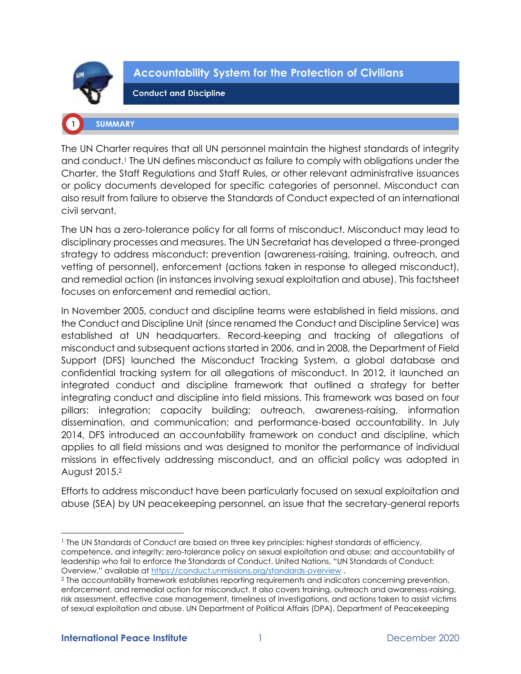

**Accountability System for the Protection of Civilians** 

**Conduct and Discipline** 

### **SUMMARY**

The UN Charter requires that all UN personnel maintain the highest standards of integrity and conduct.<sup>1</sup> The UN defines misconduct as failure to comply with obligations under the Charter, the Staff Regulations and Staff Rules, or other relevant administrative issuances or policy documents developed for specific categories of personnel. Misconduct can also result from failure to observe the Standards of Conduct expected of an international civil servant.

The UN has a zero-tolerance policy for all forms of misconduct. Misconduct may lead to disciplinary processes and measures. The UN Secretariat has developed a three-pronged strategy to address misconduct: prevention (awareness-raising, training, outreach, and vetting of personnel), enforcement (actions taken in response to alleged misconduct), and remedial action (in instances involving sexual exploitation and abuse). This factsheet focuses on enforcement and remedial action.

In November 2005, conduct and discipline teams were established in field missions, and the Conduct and Discipline Unit (since renamed the Conduct and Discipline Service) was established at UN headquarters. Record-keeping and tracking of allegations of misconduct and subsequent actions started in 2006, and in 2008, the Department of Field Support (DFS) launched the Misconduct Tracking System, a global database and confidential tracking system for all allegations of misconduct. In 2012, it launched an integrated conduct and discipline framework that outlined a strategy for better integrating conduct and discipline into field missions. This framework was based on four pillars: integration; capacity building; outreach, awareness-raising, information dissemination, and communication; and performance-based accountability. In July 2014, DFS introduced an accountability framework on conduct and discipline, which applies to all field missions and was designed to monitor the performance of individual missions in effectively addressing misconduct, and an official policy was adopted in August 2015.<sup>2</sup>

Efforts to address misconduct have been particularly focused on sexual exploitation and abuse (SEA) by UN peacekeeping personnel, an issue that the secretary-general reports

<sup>1</sup> The UN Standards of Conduct are based on three key principles: highest standards of efficiency, competence, and integrity; zero-tolerance policy on sexual exploitation and abuse; and accountability of leadership who fail to enforce the Standards of Conduct. United Nations, "UN Standards of Conduct: Overview," available at <https://conduct.unmissions.org/standards-overview> .

<sup>2</sup> The accountability framework establishes reporting requirements and indicators concerning prevention, enforcement, and remedial action for misconduct. It also covers training, outreach and awareness-raising, risk assessment, effective case management, timeliness of investigations, and actions taken to assist victims of sexual exploitation and abuse. UN Department of Political Affairs (DPA), Department of Peacekeeping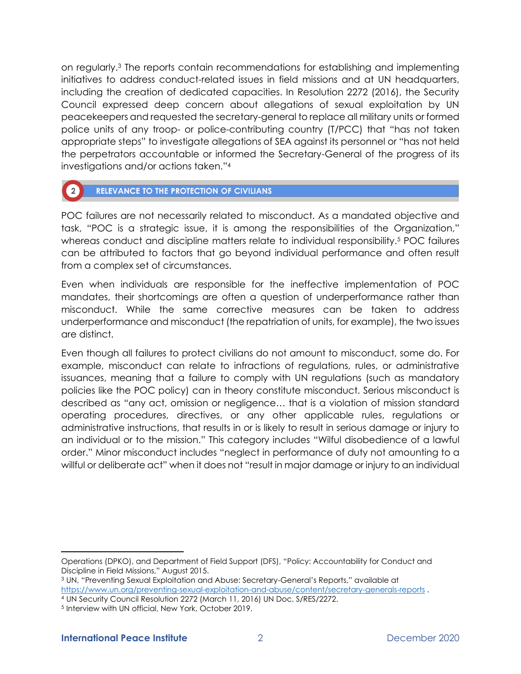on regularly.<sup>3</sup> The reports contain recommendations for establishing and implementing initiatives to address conduct-related issues in field missions and at UN headquarters, including the creation of dedicated capacities. In Resolution 2272 (2016), the Security Council expressed deep concern about allegations of sexual exploitation by UN peacekeepers and requested the secretary-general to replace all military units or formed police units of any troop- or police-contributing country (T/PCC) that "has not taken appropriate steps" to investigate allegations of SEA against its personnel or "has not held the perpetrators accountable or informed the Secretary-General of the progress of its investigations and/or actions taken."<sup>4</sup>

## **RELEVANCE TO THE PROTECTION OF CIVILIANS**

 $\frac{2}{2}$ 

POC failures are not necessarily related to misconduct. As a mandated objective and task, "POC is a strategic issue, it is among the responsibilities of the Organization," whereas conduct and discipline matters relate to individual responsibility.<sup>5</sup> POC failures can be attributed to factors that go beyond individual performance and often result from a complex set of circumstances.

Even when individuals are responsible for the ineffective implementation of POC mandates, their shortcomings are often a question of underperformance rather than misconduct. While the same corrective measures can be taken to address underperformance and misconduct (the repatriation of units, for example), the two issues are distinct.

Even though all failures to protect civilians do not amount to misconduct, some do. For example, misconduct can relate to infractions of regulations, rules, or administrative issuances, meaning that a failure to comply with UN regulations (such as mandatory policies like the POC policy) can in theory constitute misconduct. Serious misconduct is described as "any act, omission or negligence… that is a violation of mission standard operating procedures, directives, or any other applicable rules, regulations or administrative instructions, that results in or is likely to result in serious damage or injury to an individual or to the mission." This category includes "Wilful disobedience of a lawful order." Minor misconduct includes "neglect in performance of duty not amounting to a willful or deliberate act" when it does not "result in major damage or injury to an individual

Operations (DPKO), and Department of Field Support (DFS), "Policy: Accountability for Conduct and Discipline in Field Missions," August 2015.

<sup>3</sup> UN, "Preventing Sexual Exploitation and Abuse: Secretary-General's Reports," available at <https://www.un.org/preventing-sexual-exploitation-and-abuse/content/secretary-generals-reports> . <sup>4</sup> UN Security Council Resolution 2272 (March 11, 2016) UN Doc. S/RES/2272.

<sup>5</sup> Interview with UN official, New York, October 2019.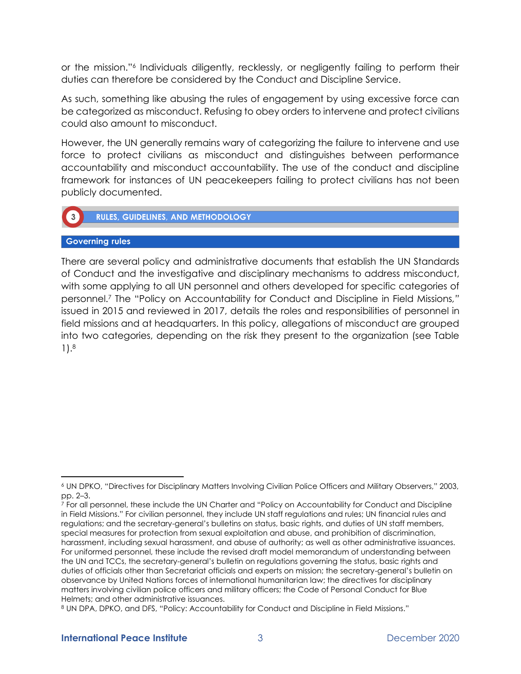or the mission."<sup>6</sup> Individuals diligently, recklessly, or negligently failing to perform their duties can therefore be considered by the Conduct and Discipline Service.

As such, something like abusing the rules of engagement by using excessive force can be categorized as misconduct. Refusing to obey orders to intervene and protect civilians could also amount to misconduct.

However, the UN generally remains wary of categorizing the failure to intervene and use force to protect civilians as misconduct and distinguishes between performance accountability and misconduct accountability. The use of the conduct and discipline framework for instances of UN peacekeepers failing to protect civilians has not been publicly documented.



### **Governing rules**

There are several policy and administrative documents that establish the UN Standards of Conduct and the investigative and disciplinary mechanisms to address misconduct, with some applying to all UN personnel and others developed for specific categories of personnel.<sup>7</sup> The "Policy on Accountability for Conduct and Discipline in Field Missions*,"* issued in 2015 and reviewed in 2017, details the roles and responsibilities of personnel in field missions and at headquarters. In this policy, allegations of misconduct are grouped into two categories, depending on the risk they present to the organization (see Table 1).<sup>8</sup>

<sup>6</sup> UN DPKO, "Directives for Disciplinary Matters Involving Civilian Police Officers and Military Observers," 2003, pp. 2–3.

<sup>&</sup>lt;sup>7</sup> For all personnel, these include the UN Charter and "Policy on Accountability for Conduct and Discipline in Field Missions." For civilian personnel, they include UN staff regulations and rules; UN financial rules and regulations; and the secretary-general's bulletins on status, basic rights, and duties of UN staff members, special measures for protection from sexual exploitation and abuse, and prohibition of discrimination, harassment, including sexual harassment, and abuse of authority; as well as other administrative issuances. For uniformed personnel, these include the revised draft model memorandum of understanding between the UN and TCCs, the secretary-general's bulletin on regulations governing the status, basic rights and duties of officials other than Secretariat officials and experts on mission; the secretary-general's bulletin on observance by United Nations forces of international humanitarian law; the directives for disciplinary matters involving civilian police officers and military officers; the Code of Personal Conduct for Blue Helmets; and other administrative issuances.

<sup>8</sup> UN DPA, DPKO, and DFS, "Policy: Accountability for Conduct and Discipline in Field Missions."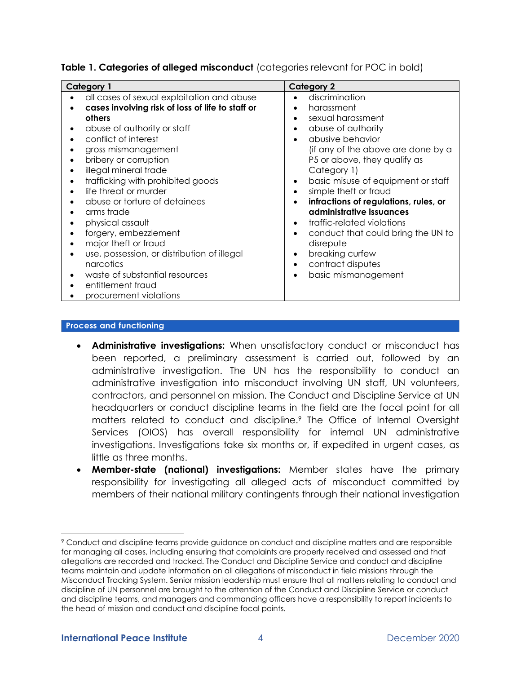**Table 1. Categories of alleged misconduct** (categories relevant for POC in bold)

### **Process and functioning**

- **Administrative investigations:** When unsatisfactory conduct or misconduct has been reported, a preliminary assessment is carried out, followed by an administrative investigation. The UN has the responsibility to conduct an administrative investigation into misconduct involving UN staff, UN volunteers, contractors, and personnel on mission. The Conduct and Discipline Service at UN headquarters or conduct discipline teams in the field are the focal point for all matters related to conduct and discipline.<sup>9</sup> The Office of Internal Oversight Services (OIOS) has overall responsibility for internal UN administrative investigations. Investigations take six months or, if expedited in urgent cases, as little as three months.
- **Member-state (national) investigations:** Member states have the primary responsibility for investigating all alleged acts of misconduct committed by members of their national military contingents through their national investigation

<sup>9</sup> Conduct and discipline teams provide guidance on conduct and discipline matters and are responsible for managing all cases, including ensuring that complaints are properly received and assessed and that allegations are recorded and tracked. The Conduct and Discipline Service and conduct and discipline teams maintain and update information on all allegations of misconduct in field missions through the Misconduct Tracking System. Senior mission leadership must ensure that all matters relating to conduct and discipline of UN personnel are brought to the attention of the Conduct and Discipline Service or conduct and discipline teams, and managers and commanding officers have a responsibility to report incidents to the head of mission and conduct and discipline focal points.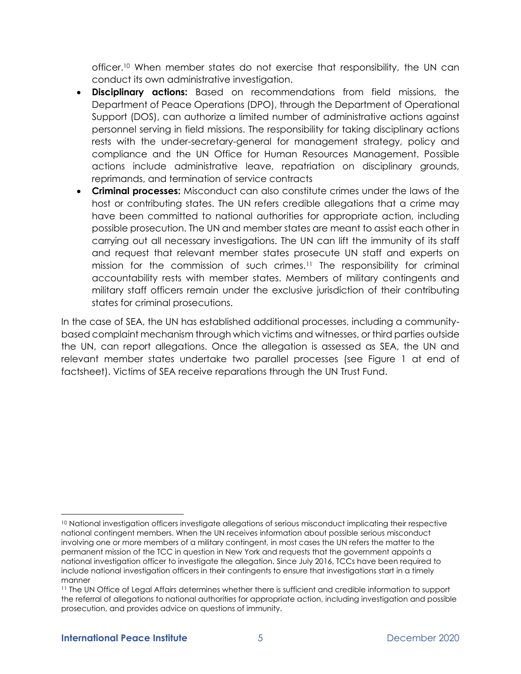officer.<sup>10</sup> When member states do not exercise that responsibility, the UN can conduct its own administrative investigation.

- **Disciplinary actions:** Based on recommendations from field missions, the Department of Peace Operations (DPO), through the Department of Operational Support (DOS), can authorize a limited number of administrative actions against personnel serving in field missions. The responsibility for taking disciplinary actions rests with the under-secretary-general for management strategy, policy and compliance and the UN Office for Human Resources Management. Possible actions include administrative leave, repatriation on disciplinary grounds, reprimands, and termination of service contracts
- **Criminal processes:** Misconduct can also constitute crimes under the laws of the host or contributing states. The UN refers credible allegations that a crime may have been committed to national authorities for appropriate action, including possible prosecution. The UN and member states are meant to assist each other in carrying out all necessary investigations. The UN can lift the immunity of its staff and request that relevant member states prosecute UN staff and experts on mission for the commission of such crimes.<sup>11</sup> The responsibility for criminal accountability rests with member states. Members of military contingents and military staff officers remain under the exclusive jurisdiction of their contributing states for criminal prosecutions.

In the case of SEA, the UN has established additional processes, including a communitybased complaint mechanism through which victims and witnesses, or third parties outside the UN, can report allegations. Once the allegation is assessed as SEA, the UN and relevant member states undertake two parallel processes (see Figure 1 at end of factsheet). Victims of SEA receive reparations through the UN Trust Fund.

<sup>10</sup> National investigation officers investigate allegations of serious misconduct implicating their respective national contingent members. When the UN receives information about possible serious misconduct involving one or more members of a military contingent, in most cases the UN refers the matter to the permanent mission of the TCC in question in New York and requests that the government appoints a national investigation officer to investigate the allegation. Since July 2016, TCCs have been required to include national investigation officers in their contingents to ensure that investigations start in a timely manner

<sup>11</sup> The UN Office of Legal Affairs determines whether there is sufficient and credible information to support the referral of allegations to national authorities for appropriate action, including investigation and possible prosecution, and provides advice on questions of immunity.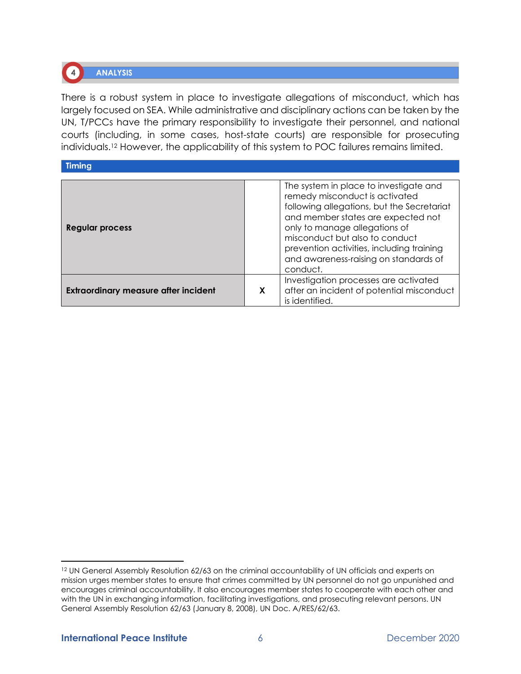# **ANALYSIS**

 $(4)$ 

There is a robust system in place to investigate allegations of misconduct, which has largely focused on SEA. While administrative and disciplinary actions can be taken by the UN, T/PCCs have the primary responsibility to investigate their personnel, and national courts (including, in some cases, host-state courts) are responsible for prosecuting individuals.<sup>12</sup> However, the applicability of this system to POC failures remains limited.

| <b>Timing</b>                               |   |                                                                                                                                                                                                                                                                                                                                   |
|---------------------------------------------|---|-----------------------------------------------------------------------------------------------------------------------------------------------------------------------------------------------------------------------------------------------------------------------------------------------------------------------------------|
|                                             |   |                                                                                                                                                                                                                                                                                                                                   |
| <b>Regular process</b>                      |   | The system in place to investigate and<br>remedy misconduct is activated<br>following allegations, but the Secretariat<br>and member states are expected not<br>only to manage allegations of<br>misconduct but also to conduct<br>prevention activities, including training<br>and awareness-raising on standards of<br>conduct. |
| <b>Extraordinary measure after incident</b> | X | Investigation processes are activated<br>after an incident of potential misconduct<br>is identified.                                                                                                                                                                                                                              |

<sup>&</sup>lt;sup>12</sup> UN General Assembly Resolution 62/63 on the criminal accountability of UN officials and experts on mission urges member states to ensure that crimes committed by UN personnel do not go unpunished and encourages criminal accountability. It also encourages member states to cooperate with each other and with the UN in exchanging information, facilitating investigations, and prosecuting relevant persons. UN General Assembly Resolution 62/63 (January 8, 2008), UN Doc. A/RES/62/63.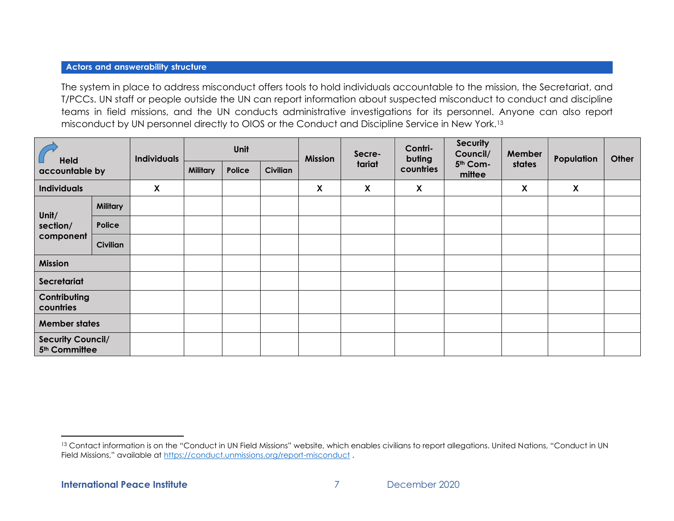#### **Actors and answerability structure**

The system in place to address misconduct offers tools to hold individuals accountable to the mission, the Secretariat, and T/PCCs. UN staff or people outside the UN can report information about suspected misconduct to conduct and discipline teams in field missions, and the UN conducts administrative investigations for its personnel. Anyone can also report misconduct by UN personnel directly to OIOS or the Conduct and Discipline Service in New York.<sup>13</sup>

| <b>Held</b><br>accountable by                         |                 | <b>Individuals</b> | Unit            |        | <b>Mission</b>  | Secre- | Contri-<br>buting | <b>Security</b><br>Council/ | Member             | Population | Other            |  |
|-------------------------------------------------------|-----------------|--------------------|-----------------|--------|-----------------|--------|-------------------|-----------------------------|--------------------|------------|------------------|--|
|                                                       |                 |                    | <b>Military</b> | Police | <b>Civilian</b> |        | tariat            | countries                   | 5th Com-<br>mittee | states     |                  |  |
| <b>Individuals</b>                                    |                 | $\pmb{\mathsf{X}}$ |                 |        |                 | X      | X                 | $\pmb{\mathsf{X}}$          |                    | X          | $\boldsymbol{X}$ |  |
|                                                       | <b>Military</b> |                    |                 |        |                 |        |                   |                             |                    |            |                  |  |
| Unit/<br>section/                                     | Police          |                    |                 |        |                 |        |                   |                             |                    |            |                  |  |
| component                                             | <b>Civilian</b> |                    |                 |        |                 |        |                   |                             |                    |            |                  |  |
| <b>Mission</b>                                        |                 |                    |                 |        |                 |        |                   |                             |                    |            |                  |  |
| Secretariat                                           |                 |                    |                 |        |                 |        |                   |                             |                    |            |                  |  |
| Contributing<br>countries                             |                 |                    |                 |        |                 |        |                   |                             |                    |            |                  |  |
| <b>Member states</b>                                  |                 |                    |                 |        |                 |        |                   |                             |                    |            |                  |  |
| <b>Security Council/</b><br>5 <sup>th</sup> Committee |                 |                    |                 |        |                 |        |                   |                             |                    |            |                  |  |

<sup>13</sup> Contact information is on the "Conduct in UN Field Missions" website, which enables civilians to report allegations. United Nations, "Conduct in UN Field Missions," available at <https://conduct.unmissions.org/report-misconduct> .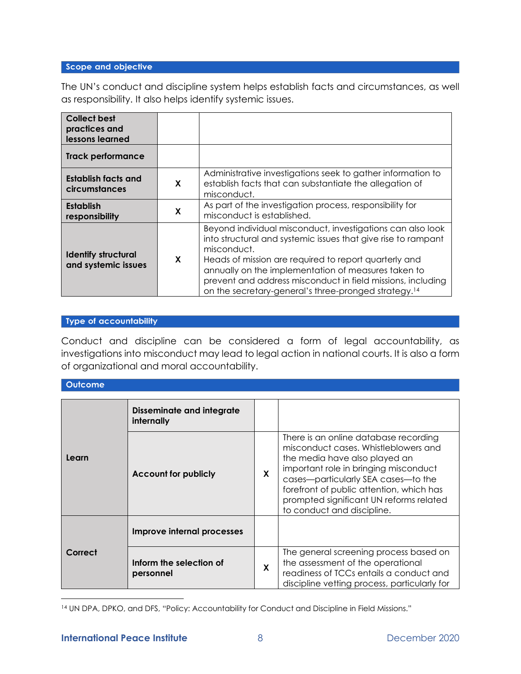### Scope and objective

The UN's conduct and discipline system helps establish facts and circumstances, as well as responsibility. It also helps identify systemic issues.

| <b>Collect best</b><br>practices and<br>lessons learned |   |                                                                                                                                                                                                                                                                                                                                                                                               |
|---------------------------------------------------------|---|-----------------------------------------------------------------------------------------------------------------------------------------------------------------------------------------------------------------------------------------------------------------------------------------------------------------------------------------------------------------------------------------------|
| <b>Track performance</b>                                |   |                                                                                                                                                                                                                                                                                                                                                                                               |
| Establish facts and<br>circumstances                    | X | Administrative investigations seek to gather information to<br>establish facts that can substantiate the allegation of<br>misconduct.                                                                                                                                                                                                                                                         |
| <b>Establish</b><br>responsibility                      | X | As part of the investigation process, responsibility for<br>misconduct is established.                                                                                                                                                                                                                                                                                                        |
| <b>Identify structural</b><br>and systemic issues       | X | Beyond individual misconduct, investigations can also look<br>into structural and systemic issues that give rise to rampant<br>misconduct.<br>Heads of mission are required to report quarterly and<br>annually on the implementation of measures taken to<br>prevent and address misconduct in field missions, including<br>on the secretary-general's three-pronged strategy. <sup>14</sup> |

### Type of accountability

Conduct and discipline can be considered a form of legal accountability, as investigations into misconduct may lead to legal action in national courts. It is also a form of organizational and moral accountability.

### Outcome

|         | <b>Disseminate and integrate</b><br>internally |   |                                                                                                                                                                                                                                                                                                                     |
|---------|------------------------------------------------|---|---------------------------------------------------------------------------------------------------------------------------------------------------------------------------------------------------------------------------------------------------------------------------------------------------------------------|
| Learn   | <b>Account for publicly</b>                    |   | There is an online database recording<br>misconduct cases. Whistleblowers and<br>the media have also played an<br>important role in bringing misconduct<br>cases-particularly SEA cases-to the<br>forefront of public attention, which has<br>prompted significant UN reforms related<br>to conduct and discipline. |
|         | Improve internal processes                     |   |                                                                                                                                                                                                                                                                                                                     |
| Correct | Inform the selection of<br>personnel           | X | The general screening process based on<br>the assessment of the operational<br>readiness of TCCs entails a conduct and<br>discipline vetting process, particularly for                                                                                                                                              |

<sup>14</sup> UN DPA, DPKO, and DFS, "Policy: Accountability for Conduct and Discipline in Field Missions."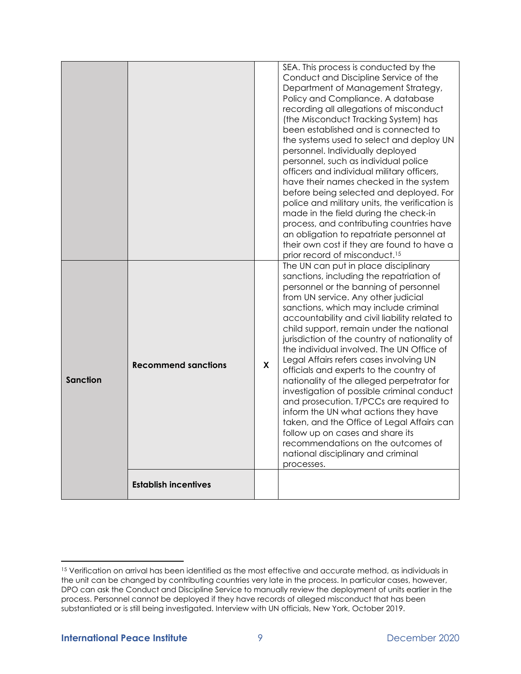|                 |                             |   | SEA. This process is conducted by the<br>Conduct and Discipline Service of the<br>Department of Management Strategy,<br>Policy and Compliance. A database<br>recording all allegations of misconduct<br>(the Misconduct Tracking System) has<br>been established and is connected to<br>the systems used to select and deploy UN<br>personnel. Individually deployed<br>personnel, such as individual police<br>officers and individual military officers,<br>have their names checked in the system<br>before being selected and deployed. For<br>police and military units, the verification is<br>made in the field during the check-in<br>process, and contributing countries have<br>an obligation to repatriate personnel at<br>their own cost if they are found to have a<br>prior record of misconduct. <sup>15</sup>                         |
|-----------------|-----------------------------|---|-------------------------------------------------------------------------------------------------------------------------------------------------------------------------------------------------------------------------------------------------------------------------------------------------------------------------------------------------------------------------------------------------------------------------------------------------------------------------------------------------------------------------------------------------------------------------------------------------------------------------------------------------------------------------------------------------------------------------------------------------------------------------------------------------------------------------------------------------------|
| <b>Sanction</b> | <b>Recommend sanctions</b>  | X | The UN can put in place disciplinary<br>sanctions, including the repatriation of<br>personnel or the banning of personnel<br>from UN service. Any other judicial<br>sanctions, which may include criminal<br>accountability and civil liability related to<br>child support, remain under the national<br>jurisdiction of the country of nationality of<br>the individual involved. The UN Office of<br>Legal Affairs refers cases involving UN<br>officials and experts to the country of<br>nationality of the alleged perpetrator for<br>investigation of possible criminal conduct<br>and prosecution. T/PCCs are required to<br>inform the UN what actions they have<br>taken, and the Office of Legal Affairs can<br>follow up on cases and share its<br>recommendations on the outcomes of<br>national disciplinary and criminal<br>processes. |
|                 | <b>Establish incentives</b> |   |                                                                                                                                                                                                                                                                                                                                                                                                                                                                                                                                                                                                                                                                                                                                                                                                                                                       |

<sup>&</sup>lt;sup>15</sup> Verification on arrival has been identified as the most effective and accurate method, as individuals in the unit can be changed by contributing countries very late in the process. In particular cases, however, DPO can ask the Conduct and Discipline Service to manually review the deployment of units earlier in the process. Personnel cannot be deployed if they have records of alleged misconduct that has been substantiated or is still being investigated. Interview with UN officials, New York, October 2019.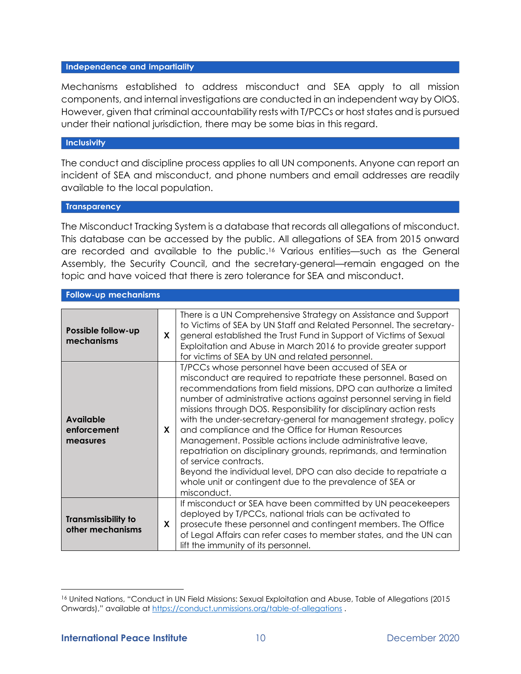### Independence and impartiality

Mechanisms established to address misconduct and SEA apply to all mission components, and internal investigations are conducted in an independent way by OIOS. However, given that criminal accountability rests with T/PCCs or host states and is pursued under their national jurisdiction, there may be some bias in this regard.

#### **Inclusivity**

The conduct and discipline process applies to all UN components. Anyone can report an incident of SEA and misconduct, and phone numbers and email addresses are readily available to the local population.

### **Transparency**

**Follow-up mechanisms** 

The Misconduct Tracking System is a database that records all allegations of misconduct. This database can be accessed by the public. All allegations of SEA from 2015 onward are recorded and available to the public.<sup>16</sup> Various entities—such as the General Assembly, the Security Council, and the secretary-general—remain engaged on the topic and have voiced that there is zero tolerance for SEA and misconduct.

| Possible follow-up<br>mechanisms               | X | There is a UN Comprehensive Strategy on Assistance and Support<br>to Victims of SEA by UN Staff and Related Personnel. The secretary-<br>general established the Trust Fund in Support of Victims of Sexual<br>Exploitation and Abuse in March 2016 to provide greater support<br>for victims of SEA by UN and related personnel.                                                                                                                                                                                                                                                                                                                                                                                                                                          |  |  |
|------------------------------------------------|---|----------------------------------------------------------------------------------------------------------------------------------------------------------------------------------------------------------------------------------------------------------------------------------------------------------------------------------------------------------------------------------------------------------------------------------------------------------------------------------------------------------------------------------------------------------------------------------------------------------------------------------------------------------------------------------------------------------------------------------------------------------------------------|--|--|
| <b>Available</b><br>enforcement<br>measures    | X | T/PCCs whose personnel have been accused of SEA or<br>misconduct are required to repatriate these personnel. Based on<br>recommendations from field missions, DPO can authorize a limited<br>number of administrative actions against personnel serving in field<br>missions through DOS. Responsibility for disciplinary action rests<br>with the under-secretary-general for management strategy, policy<br>and compliance and the Office for Human Resources<br>Management. Possible actions include administrative leave,<br>repatriation on disciplinary grounds, reprimands, and termination<br>of service contracts.<br>Beyond the individual level, DPO can also decide to repatriate a<br>whole unit or contingent due to the prevalence of SEA or<br>misconduct. |  |  |
| <b>Transmissibility to</b><br>other mechanisms | X | If misconduct or SEA have been committed by UN peacekeepers<br>deployed by T/PCCs, national trials can be activated to<br>prosecute these personnel and contingent members. The Office<br>of Legal Affairs can refer cases to member states, and the UN can<br>lift the immunity of its personnel.                                                                                                                                                                                                                                                                                                                                                                                                                                                                         |  |  |

#### 16 United Nations, "Conduct in UN Field Missions: Sexual Exploitation and Abuse, Table of Allegations (2015 Onwards)," available at <https://conduct.unmissions.org/table-of-allegations> .